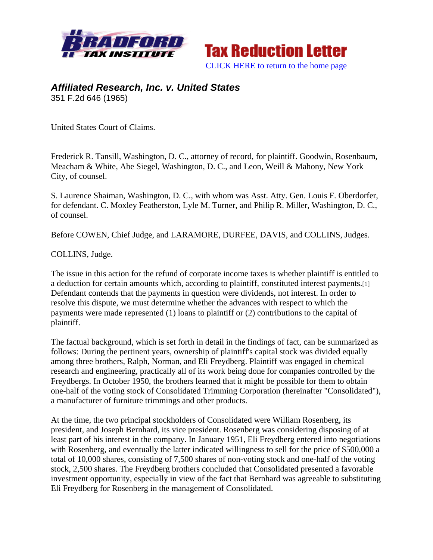



## *Affiliated Research, Inc. v. United States*  351 F.2d 646 (1965)

United States Court of Claims.

Frederick R. Tansill, Washington, D. C., attorney of record, for plaintiff. Goodwin, Rosenbaum, Meacham & White, Abe Siegel, Washington, D. C., and Leon, Weill & Mahony, New York City, of counsel.

S. Laurence Shaiman, Washington, D. C., with whom was Asst. Atty. Gen. Louis F. Oberdorfer, for defendant. C. Moxley Featherston, Lyle M. Turner, and Philip R. Miller, Washington, D. C., of counsel.

Before COWEN, Chief Judge, and LARAMORE, DURFEE, DAVIS, and COLLINS, Judges.

COLLINS, Judge.

The issue in this action for the refund of corporate income taxes is whether plaintiff is entitled to a deduction for certain amounts which, according to plaintiff, constituted interest payments.[1] Defendant contends that the payments in question were dividends, not interest. In order to resolve this dispute, we must determine whether the advances with respect to which the payments were made represented (1) loans to plaintiff or (2) contributions to the capital of plaintiff.

The factual background, which is set forth in detail in the findings of fact, can be summarized as follows: During the pertinent years, ownership of plaintiff's capital stock was divided equally among three brothers, Ralph, Norman, and Eli Freydberg. Plaintiff was engaged in chemical research and engineering, practically all of its work being done for companies controlled by the Freydbergs. In October 1950, the brothers learned that it might be possible for them to obtain one-half of the voting stock of Consolidated Trimming Corporation (hereinafter "Consolidated"), a manufacturer of furniture trimmings and other products.

At the time, the two principal stockholders of Consolidated were William Rosenberg, its president, and Joseph Bernhard, its vice president. Rosenberg was considering disposing of at least part of his interest in the company. In January 1951, Eli Freydberg entered into negotiations with Rosenberg, and eventually the latter indicated willingness to sell for the price of \$500,000 a total of 10,000 shares, consisting of 7,500 shares of non-voting stock and one-half of the voting stock, 2,500 shares. The Freydberg brothers concluded that Consolidated presented a favorable investment opportunity, especially in view of the fact that Bernhard was agreeable to substituting Eli Freydberg for Rosenberg in the management of Consolidated.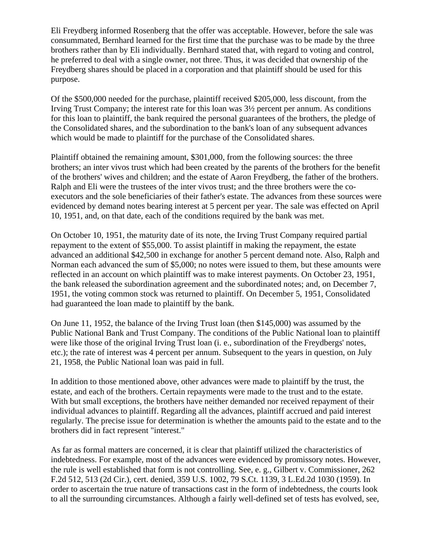Eli Freydberg informed Rosenberg that the offer was acceptable. However, before the sale was consummated, Bernhard learned for the first time that the purchase was to be made by the three brothers rather than by Eli individually. Bernhard stated that, with regard to voting and control, he preferred to deal with a single owner, not three. Thus, it was decided that ownership of the Freydberg shares should be placed in a corporation and that plaintiff should be used for this purpose.

Of the \$500,000 needed for the purchase, plaintiff received \$205,000, less discount, from the Irving Trust Company; the interest rate for this loan was 3½ percent per annum. As conditions for this loan to plaintiff, the bank required the personal guarantees of the brothers, the pledge of the Consolidated shares, and the subordination to the bank's loan of any subsequent advances which would be made to plaintiff for the purchase of the Consolidated shares.

Plaintiff obtained the remaining amount, \$301,000, from the following sources: the three brothers; an inter vivos trust which had been created by the parents of the brothers for the benefit of the brothers' wives and children; and the estate of Aaron Freydberg, the father of the brothers. Ralph and Eli were the trustees of the inter vivos trust; and the three brothers were the coexecutors and the sole beneficiaries of their father's estate. The advances from these sources were evidenced by demand notes bearing interest at 5 percent per year. The sale was effected on April 10, 1951, and, on that date, each of the conditions required by the bank was met.

On October 10, 1951, the maturity date of its note, the Irving Trust Company required partial repayment to the extent of \$55,000. To assist plaintiff in making the repayment, the estate advanced an additional \$42,500 in exchange for another 5 percent demand note. Also, Ralph and Norman each advanced the sum of \$5,000; no notes were issued to them, but these amounts were reflected in an account on which plaintiff was to make interest payments. On October 23, 1951, the bank released the subordination agreement and the subordinated notes; and, on December 7, 1951, the voting common stock was returned to plaintiff. On December 5, 1951, Consolidated had guaranteed the loan made to plaintiff by the bank.

On June 11, 1952, the balance of the Irving Trust loan (then \$145,000) was assumed by the Public National Bank and Trust Company. The conditions of the Public National loan to plaintiff were like those of the original Irving Trust loan (i. e., subordination of the Freydbergs' notes, etc.); the rate of interest was 4 percent per annum. Subsequent to the years in question, on July 21, 1958, the Public National loan was paid in full.

In addition to those mentioned above, other advances were made to plaintiff by the trust, the estate, and each of the brothers. Certain repayments were made to the trust and to the estate. With but small exceptions, the brothers have neither demanded nor received repayment of their individual advances to plaintiff. Regarding all the advances, plaintiff accrued and paid interest regularly. The precise issue for determination is whether the amounts paid to the estate and to the brothers did in fact represent "interest."

As far as formal matters are concerned, it is clear that plaintiff utilized the characteristics of indebtedness. For example, most of the advances were evidenced by promissory notes. However, the rule is well established that form is not controlling. See, e. g., Gilbert v. Commissioner, 262 F.2d 512, 513 (2d Cir.), cert. denied, 359 U.S. 1002, 79 S.Ct. 1139, 3 L.Ed.2d 1030 (1959). In order to ascertain the true nature of transactions cast in the form of indebtedness, the courts look to all the surrounding circumstances. Although a fairly well-defined set of tests has evolved, see,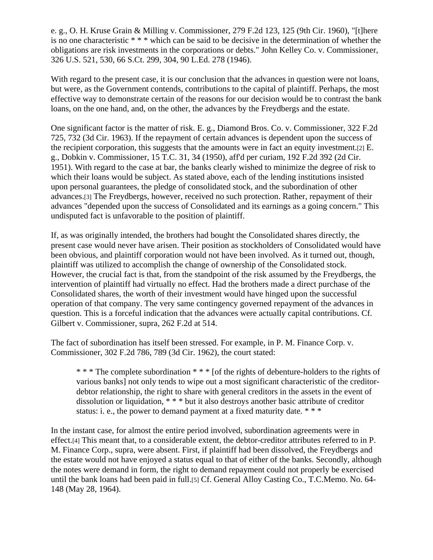e. g., O. H. Kruse Grain & Milling v. Commissioner, 279 F.2d 123, 125 (9th Cir. 1960), "[t]here is no one characteristic \* \* \* which can be said to be decisive in the determination of whether the obligations are risk investments in the corporations or debts." John Kelley Co. v. Commissioner, 326 U.S. 521, 530, 66 S.Ct. 299, 304, 90 L.Ed. 278 (1946).

With regard to the present case, it is our conclusion that the advances in question were not loans, but were, as the Government contends, contributions to the capital of plaintiff. Perhaps, the most effective way to demonstrate certain of the reasons for our decision would be to contrast the bank loans, on the one hand, and, on the other, the advances by the Freydbergs and the estate.

One significant factor is the matter of risk. E. g., Diamond Bros. Co. v. Commissioner, 322 F.2d 725, 732 (3d Cir. 1963). If the repayment of certain advances is dependent upon the success of the recipient corporation, this suggests that the amounts were in fact an equity investment.[2] E. g., Dobkin v. Commissioner, 15 T.C. 31, 34 (1950), aff'd per curiam, 192 F.2d 392 (2d Cir. 1951). With regard to the case at bar, the banks clearly wished to minimize the degree of risk to which their loans would be subject. As stated above, each of the lending institutions insisted upon personal guarantees, the pledge of consolidated stock, and the subordination of other advances.[3] The Freydbergs, however, received no such protection. Rather, repayment of their advances "depended upon the success of Consolidated and its earnings as a going concern." This undisputed fact is unfavorable to the position of plaintiff.

If, as was originally intended, the brothers had bought the Consolidated shares directly, the present case would never have arisen. Their position as stockholders of Consolidated would have been obvious, and plaintiff corporation would not have been involved. As it turned out, though, plaintiff was utilized to accomplish the change of ownership of the Consolidated stock. However, the crucial fact is that, from the standpoint of the risk assumed by the Freydbergs, the intervention of plaintiff had virtually no effect. Had the brothers made a direct purchase of the Consolidated shares, the worth of their investment would have hinged upon the successful operation of that company. The very same contingency governed repayment of the advances in question. This is a forceful indication that the advances were actually capital contributions. Cf. Gilbert v. Commissioner, supra, 262 F.2d at 514.

The fact of subordination has itself been stressed. For example, in P. M. Finance Corp. v. Commissioner, 302 F.2d 786, 789 (3d Cir. 1962), the court stated:

\* \* \* The complete subordination \* \* \* [of the rights of debenture-holders to the rights of various banks] not only tends to wipe out a most significant characteristic of the creditordebtor relationship, the right to share with general creditors in the assets in the event of dissolution or liquidation, \* \* \* but it also destroys another basic attribute of creditor status: i. e., the power to demand payment at a fixed maturity date. \* \* \*

In the instant case, for almost the entire period involved, subordination agreements were in effect.[4] This meant that, to a considerable extent, the debtor-creditor attributes referred to in P. M. Finance Corp., supra, were absent. First, if plaintiff had been dissolved, the Freydbergs and the estate would not have enjoyed a status equal to that of either of the banks. Secondly, although the notes were demand in form, the right to demand repayment could not properly be exercised until the bank loans had been paid in full.[5] Cf. General Alloy Casting Co., T.C.Memo. No. 64- 148 (May 28, 1964).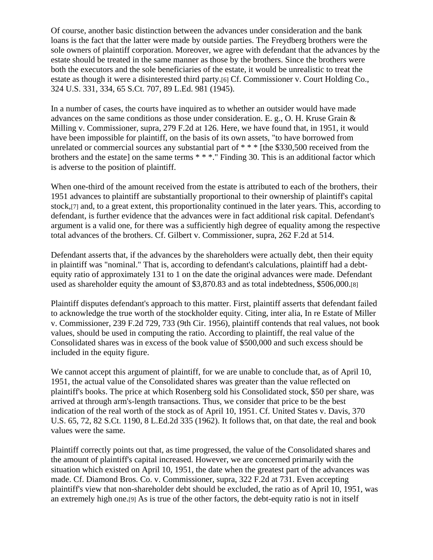Of course, another basic distinction between the advances under consideration and the bank loans is the fact that the latter were made by outside parties. The Freydberg brothers were the sole owners of plaintiff corporation. Moreover, we agree with defendant that the advances by the estate should be treated in the same manner as those by the brothers. Since the brothers were both the executors and the sole beneficiaries of the estate, it would be unrealistic to treat the estate as though it were a disinterested third party.[6] Cf. Commissioner v. Court Holding Co., 324 U.S. 331, 334, 65 S.Ct. 707, 89 L.Ed. 981 (1945).

In a number of cases, the courts have inquired as to whether an outsider would have made advances on the same conditions as those under consideration. E. g., O. H. Kruse Grain & Milling v. Commissioner, supra, 279 F.2d at 126. Here, we have found that, in 1951, it would have been impossible for plaintiff, on the basis of its own assets, "to have borrowed from unrelated or commercial sources any substantial part of \* \* \* [the \$330,500 received from the brothers and the estate] on the same terms \* \* \*." Finding 30. This is an additional factor which is adverse to the position of plaintiff.

When one-third of the amount received from the estate is attributed to each of the brothers, their 1951 advances to plaintiff are substantially proportional to their ownership of plaintiff's capital stock,[7] and, to a great extent, this proportionality continued in the later years. This, according to defendant, is further evidence that the advances were in fact additional risk capital. Defendant's argument is a valid one, for there was a sufficiently high degree of equality among the respective total advances of the brothers. Cf. Gilbert v. Commissioner, supra, 262 F.2d at 514.

Defendant asserts that, if the advances by the shareholders were actually debt, then their equity in plaintiff was "nominal." That is, according to defendant's calculations, plaintiff had a debtequity ratio of approximately 131 to 1 on the date the original advances were made. Defendant used as shareholder equity the amount of \$3,870.83 and as total indebtedness, \$506,000.[8]

Plaintiff disputes defendant's approach to this matter. First, plaintiff asserts that defendant failed to acknowledge the true worth of the stockholder equity. Citing, inter alia, In re Estate of Miller v. Commissioner, 239 F.2d 729, 733 (9th Cir. 1956), plaintiff contends that real values, not book values, should be used in computing the ratio. According to plaintiff, the real value of the Consolidated shares was in excess of the book value of \$500,000 and such excess should be included in the equity figure.

We cannot accept this argument of plaintiff, for we are unable to conclude that, as of April 10, 1951, the actual value of the Consolidated shares was greater than the value reflected on plaintiff's books. The price at which Rosenberg sold his Consolidated stock, \$50 per share, was arrived at through arm's-length transactions. Thus, we consider that price to be the best indication of the real worth of the stock as of April 10, 1951. Cf. United States v. Davis, 370 U.S. 65, 72, 82 S.Ct. 1190, 8 L.Ed.2d 335 (1962). It follows that, on that date, the real and book values were the same.

Plaintiff correctly points out that, as time progressed, the value of the Consolidated shares and the amount of plaintiff's capital increased. However, we are concerned primarily with the situation which existed on April 10, 1951, the date when the greatest part of the advances was made. Cf. Diamond Bros. Co. v. Commissioner, supra, 322 F.2d at 731. Even accepting plaintiff's view that non-shareholder debt should be excluded, the ratio as of April 10, 1951, was an extremely high one.[9] As is true of the other factors, the debt-equity ratio is not in itself